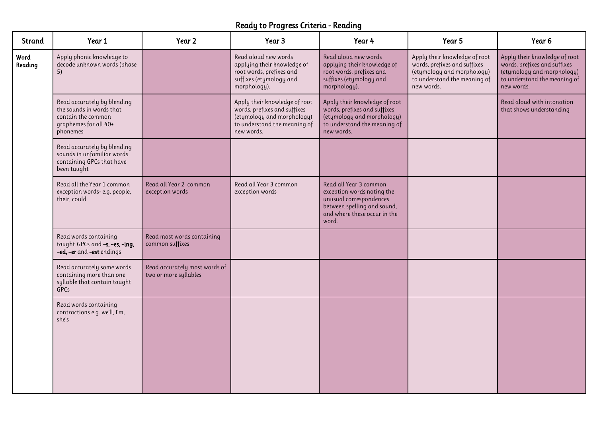## Ready to Progress Criteria - Reading

| <b>Strand</b>   | Year 1                                                                                                             | Year 2                                                 | Year 3                                                                                                                                    | Year 4                                                                                                                                                  | Year 5                                                                                                                                    | Year <sub>6</sub>                                                                                                                         |
|-----------------|--------------------------------------------------------------------------------------------------------------------|--------------------------------------------------------|-------------------------------------------------------------------------------------------------------------------------------------------|---------------------------------------------------------------------------------------------------------------------------------------------------------|-------------------------------------------------------------------------------------------------------------------------------------------|-------------------------------------------------------------------------------------------------------------------------------------------|
| Word<br>Reading | Apply phonic knowledge to<br>decode unknown words (phase<br>5)                                                     |                                                        | Read aloud new words<br>applying their knowledge of<br>root words, prefixes and<br>suffixes (etymology and<br>morphology).                | Read aloud new words<br>applying their knowledge of<br>root words, prefixes and<br>suffixes (etymology and<br>morphology).                              | Apply their knowledge of root<br>words, prefixes and suffixes<br>(etymology and morphology)<br>to understand the meaning of<br>new words. | Apply their knowledge of root<br>words, prefixes and suffixes<br>(etymology and morphology)<br>to understand the meaning of<br>new words. |
|                 | Read accurately by blending<br>the sounds in words that<br>contain the common<br>graphemes for all 40+<br>phonemes |                                                        | Apply their knowledge of root<br>words, prefixes and suffixes<br>(etymology and morphology)<br>to understand the meaning of<br>new words. | Apply their knowledge of root<br>words, prefixes and suffixes<br>(etymology and morphology)<br>to understand the meaning of<br>new words.               |                                                                                                                                           | Read aloud with intonation<br>that shows understanding                                                                                    |
|                 | Read accurately by blending<br>sounds in unfamiliar words<br>containing GPCs that have<br>been taught              |                                                        |                                                                                                                                           |                                                                                                                                                         |                                                                                                                                           |                                                                                                                                           |
|                 | Read all the Year 1 common<br>exception words-e.g. people,<br>their, could                                         | Read all Year 2 common<br>exception words              | Read all Year 3 common<br>exception words                                                                                                 | Read all Year 3 common<br>exception words noting the<br>unusual correspondences<br>between spelling and sound,<br>and where these occur in the<br>word. |                                                                                                                                           |                                                                                                                                           |
|                 | Read words containing<br>taught GPCs and -s, -es, -ing,<br>-ed, -er and -est endings                               | Read most words containing<br>common suffixes          |                                                                                                                                           |                                                                                                                                                         |                                                                                                                                           |                                                                                                                                           |
|                 | Read accurately some words<br>containing more than one<br>syllable that contain taught<br>GPCs                     | Read accurately most words of<br>two or more syllables |                                                                                                                                           |                                                                                                                                                         |                                                                                                                                           |                                                                                                                                           |
|                 | Read words containing<br>contractions e.g. we'll, I'm,<br>she's                                                    |                                                        |                                                                                                                                           |                                                                                                                                                         |                                                                                                                                           |                                                                                                                                           |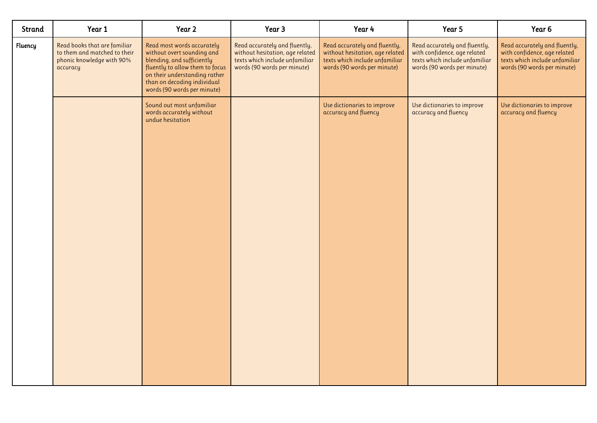| Strand  | Year 1                                                                                                | Year 2                                                                                                                                                                                                                   | Year 3                                                                                                                            | Year 4                                                                                                                            | Year 5                                                                                                                         | Year 6                                                                                                                         |
|---------|-------------------------------------------------------------------------------------------------------|--------------------------------------------------------------------------------------------------------------------------------------------------------------------------------------------------------------------------|-----------------------------------------------------------------------------------------------------------------------------------|-----------------------------------------------------------------------------------------------------------------------------------|--------------------------------------------------------------------------------------------------------------------------------|--------------------------------------------------------------------------------------------------------------------------------|
| Fluency | Read books that are familiar<br>to them and matched to their<br>phonic knowledge with 90%<br>accuracy | Read most words accurately<br>without overt sounding and<br>blending, and sufficiently<br>fluently to allow them to focus<br>on their understanding rather<br>than on decoding individual<br>words (90 words per minute) | Read accurately and fluently,<br>without hesitation, age related<br>texts which include unfamiliar<br>words (90 words per minute) | Read accurately and fluently,<br>without hesitation, age related<br>texts which include unfamiliar<br>words (90 words per minute) | Read accurately and fluently,<br>with confidence, age related<br>texts which include unfamiliar<br>words (90 words per minute) | Read accurately and fluently,<br>with confidence, age related<br>texts which include unfamiliar<br>words (90 words per minute) |
|         |                                                                                                       | Sound out most unfamiliar<br>words accurately without<br>undue hesitation                                                                                                                                                |                                                                                                                                   | Use dictionaries to improve<br>accuracy and fluency                                                                               | Use dictionaries to improve<br>accuracy and fluency                                                                            | Use dictionaries to improve<br>accuracy and fluency                                                                            |
|         |                                                                                                       |                                                                                                                                                                                                                          |                                                                                                                                   |                                                                                                                                   |                                                                                                                                |                                                                                                                                |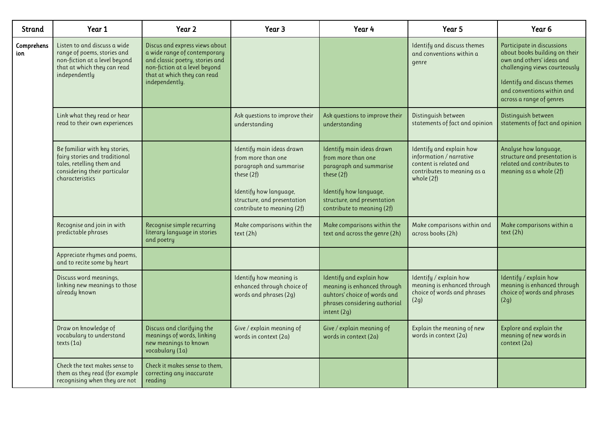| Strand            | Year 1                                                                                                                                         | Year 2                                                                                                                                                                              | Year 3                                                                                                                                                                          | Year 4                                                                                                                                                                          | Year 5                                                                                                                     | Year <sub>6</sub>                                                                                                                                                                                                  |
|-------------------|------------------------------------------------------------------------------------------------------------------------------------------------|-------------------------------------------------------------------------------------------------------------------------------------------------------------------------------------|---------------------------------------------------------------------------------------------------------------------------------------------------------------------------------|---------------------------------------------------------------------------------------------------------------------------------------------------------------------------------|----------------------------------------------------------------------------------------------------------------------------|--------------------------------------------------------------------------------------------------------------------------------------------------------------------------------------------------------------------|
| Comprehens<br>ion | Listen to and discuss a wide<br>range of poems, stories and<br>non-fiction at a level beyond<br>that at which they can read<br>independently   | Discus and express views about<br>a wide range of contemporary<br>and classic poetry, stories and<br>non-fiction at a level beyond<br>that at which they can read<br>independently. |                                                                                                                                                                                 |                                                                                                                                                                                 | Identify and discuss themes<br>and conventions within a<br>genre                                                           | Participate in discussions<br>about books building on their<br>own and others' ideas and<br>challenging views courteously<br>Identify and discuss themes<br>and conventions within and<br>across a range of genres |
|                   | Link what they read or hear<br>read to their own experiences                                                                                   |                                                                                                                                                                                     | Ask questions to improve their<br>understanding                                                                                                                                 | Ask questions to improve their<br>understanding                                                                                                                                 | Distinguish between<br>statements of fact and opinion                                                                      | Distinguish between<br>statements of fact and opinion                                                                                                                                                              |
|                   | Be familiar with key stories,<br>fairy stories and traditional<br>tales, retelling them and<br>considering their particular<br>characteristics |                                                                                                                                                                                     | Identify main ideas drawn<br>from more than one<br>paragraph and summarise<br>these (2f)<br>Identify how language,<br>structure, and presentation<br>contribute to meaning (2f) | Identify main ideas drawn<br>from more than one<br>paragraph and summarise<br>these (2f)<br>Identify how language,<br>structure, and presentation<br>contribute to meaning (2f) | Identify and explain how<br>information / narrative<br>content is related and<br>contributes to meaning as a<br>whole (2f) | Analyse how language,<br>structure and presentation is<br>related and contributes to<br>meaning as a whole (2f)                                                                                                    |
|                   | Recognise and join in with<br>predictable phrases                                                                                              | Recognise simple recurring<br>literary language in stories<br>and poetry                                                                                                            | Make comparisons within the<br>text (2h)                                                                                                                                        | Make comparisons within the<br>text and across the genre (2h)                                                                                                                   | Make comparisons within and<br>across books (2h)                                                                           | Make comparisons within a<br>text (2h)                                                                                                                                                                             |
|                   | Appreciate rhymes and poems,<br>and to recite some by heart                                                                                    |                                                                                                                                                                                     |                                                                                                                                                                                 |                                                                                                                                                                                 |                                                                                                                            |                                                                                                                                                                                                                    |
|                   | Discuss word meanings,<br>linking new meanings to those<br>already known                                                                       |                                                                                                                                                                                     | Identify how meaning is<br>enhanced through choice of<br>words and phrases (2g)                                                                                                 | Identify and explain how<br>meaning is enhanced through<br>auhtors' choice of words and<br>phrases considering authorial<br>intent (2g)                                         | Identify / explain how<br>meaning is enhanced through<br>choice of words and phrases<br>(2g)                               | Identify / explain how<br>meaning is enhanced through<br>choice of words and phrases<br>(2g)                                                                                                                       |
|                   | Draw on knowledge of<br>vocabulary to understand<br>texts $(1a)$                                                                               | Discuss and clarifying the<br>meanings of words, linking<br>new meanings to known<br>vocabulary (1a)                                                                                | Give / explain meaning of<br>words in context (2a)                                                                                                                              | Give / explain meaning of<br>words in context (2a)                                                                                                                              | Explain the meaning of new<br>words in context $(2a)$                                                                      | Explore and explain the<br>meaning of new words in<br>context (2a)                                                                                                                                                 |
|                   | Check the text makes sense to<br>them as they read (for example<br>recognising when they are not                                               | Check it makes sense to them,<br>correcting any inaccurate<br>reading                                                                                                               |                                                                                                                                                                                 |                                                                                                                                                                                 |                                                                                                                            |                                                                                                                                                                                                                    |